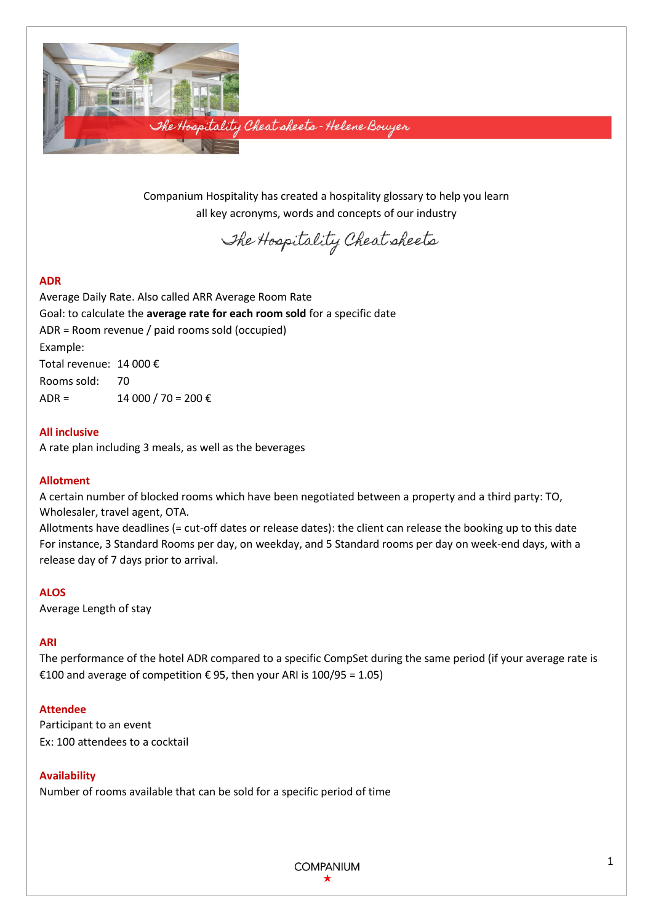

Companium Hospitality has created a hospitality glossary to help you learn all key acronyms, words and concepts of our industry

The Hospitality Cheat sheets

# **ADR**

Average Daily Rate. Also called ARR Average Room Rate Goal: to calculate the **average rate for each room sold** for a specific date ADR = Room revenue / paid rooms sold (occupied) Example: Total revenue: 14 000 € Rooms sold: 70 ADR =  $14000 / 70 = 200 \text{ } \in \text{}$ 

## **All inclusive**

A rate plan including 3 meals, as well as the beverages

## **Allotment**

A certain number of blocked rooms which have been negotiated between a property and a third party: TO, Wholesaler, travel agent, OTA.

Allotments have deadlines (= cut-off dates or release dates): the client can release the booking up to this date For instance, 3 Standard Rooms per day, on weekday, and 5 Standard rooms per day on week-end days, with a release day of 7 days prior to arrival.

#### **ALOS**

Average Length of stay

## **ARI**

The performance of the hotel ADR compared to a specific CompSet during the same period (if your average rate is €100 and average of competition  $€ 95$ , then your ARI is 100/95 = 1.05)

#### **Attendee**

Participant to an event Ex: 100 attendees to a cocktail

## **Availability**

Number of rooms available that can be sold for a specific period of time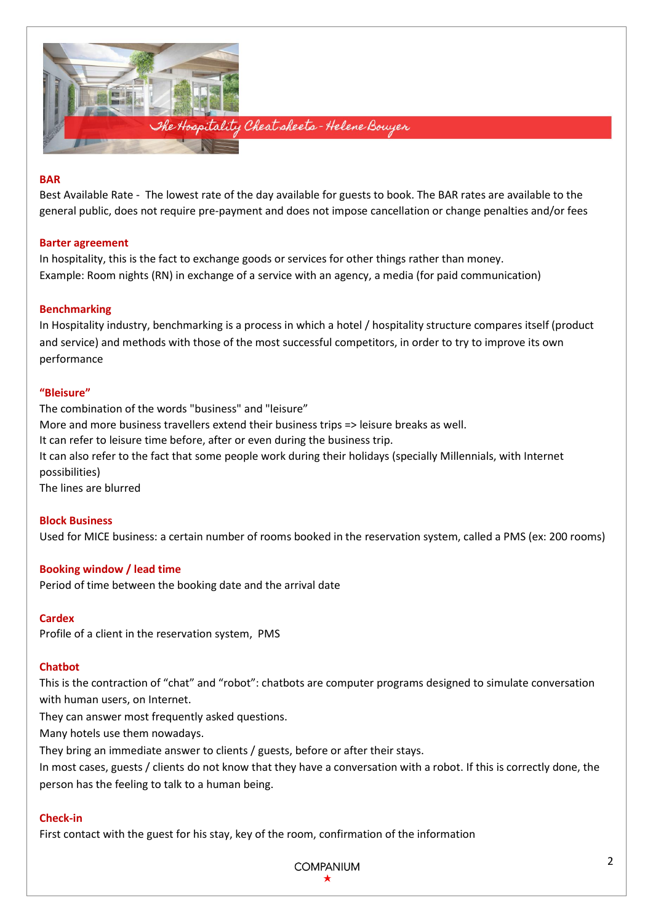

#### **BAR**

Best Available Rate - The lowest rate of the day available for guests to book. The BAR rates are available to the general public, does not require pre-payment and does not impose cancellation or change penalties and/or fees

#### **Barter agreement**

In hospitality, this is the fact to exchange goods or services for other things rather than money. Example: Room nights (RN) in exchange of a service with an agency, a media (for paid communication)

## **Benchmarking**

In Hospitality industry, benchmarking is a process in which a hotel / hospitality structure compares itself (product and service) and methods with those of the most successful competitors, in order to try to improve its own performance

#### **"Bleisure"**

The combination of the words "business" and "leisure" More and more business travellers extend their business trips => leisure breaks as well. It can refer to leisure time before, after or even during the business trip. It can also refer to the fact that some people work during their holidays (specially Millennials, with Internet possibilities) The lines are blurred

# **Block Business**

Used for MICE business: a certain number of rooms booked in the reservation system, called a PMS (ex: 200 rooms)

## **Booking window / lead time**

Period of time between the booking date and the arrival date

## **Cardex**

Profile of a client in the reservation system, PMS

## **Chatbot**

This is the contraction of "chat" and "robot": chatbots are computer programs designed to simulate conversation with human users, on Internet.

They can answer most frequently asked questions.

Many hotels use them nowadays.

They bring an immediate answer to clients / guests, before or after their stays.

In most cases, guests / clients do not know that they have a conversation with a robot. If this is correctly done, the person has the feeling to talk to a human being.

## **Check-in**

First contact with the guest for his stay, key of the room, confirmation of the information

**COMPANIUM**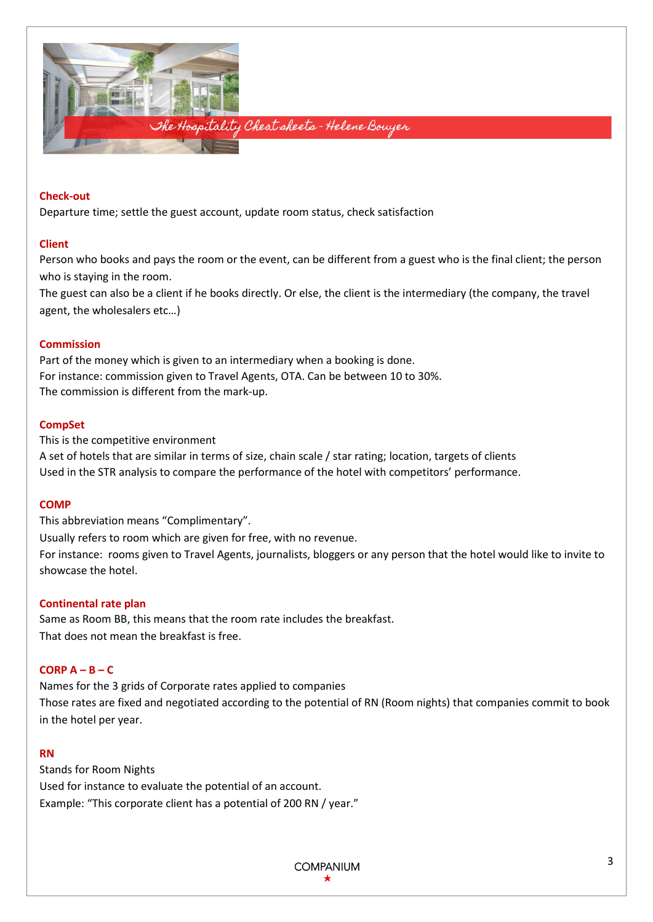

## **Check-out**

Departure time; settle the guest account, update room status, check satisfaction

#### **Client**

Person who books and pays the room or the event, can be different from a guest who is the final client; the person who is staying in the room.

The guest can also be a client if he books directly. Or else, the client is the intermediary (the company, the travel agent, the wholesalers etc…)

#### **Commission**

Part of the money which is given to an intermediary when a booking is done. For instance: commission given to Travel Agents, OTA. Can be between 10 to 30%. The commission is different from the mark-up.

#### **CompSet**

This is the competitive environment A set of hotels that are similar in terms of size, chain scale / star rating; location, targets of clients Used in the STR analysis to compare the performance of the hotel with competitors' performance.

#### **COMP**

This abbreviation means "Complimentary".

Usually refers to room which are given for free, with no revenue.

For instance: rooms given to Travel Agents, journalists, bloggers or any person that the hotel would like to invite to showcase the hotel.

#### **Continental rate plan**

Same as Room BB, this means that the room rate includes the breakfast. That does not mean the breakfast is free.

## **CORP A – B – C**

Names for the 3 grids of Corporate rates applied to companies Those rates are fixed and negotiated according to the potential of RN (Room nights) that companies commit to book in the hotel per year.

#### **RN**

Stands for Room Nights Used for instance to evaluate the potential of an account. Example: "This corporate client has a potential of 200 RN / year."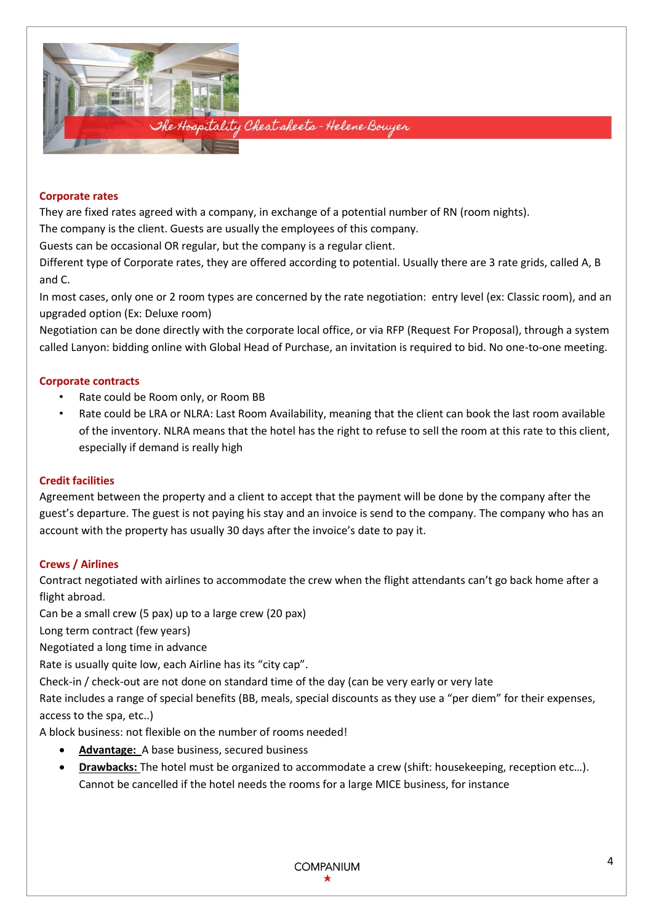

## **Corporate rates**

They are fixed rates agreed with a company, in exchange of a potential number of RN (room nights).

The company is the client. Guests are usually the employees of this company.

Guests can be occasional OR regular, but the company is a regular client.

Different type of Corporate rates, they are offered according to potential. Usually there are 3 rate grids, called A, B and C.

In most cases, only one or 2 room types are concerned by the rate negotiation: entry level (ex: Classic room), and an upgraded option (Ex: Deluxe room)

Negotiation can be done directly with the corporate local office, or via RFP (Request For Proposal), through a system called Lanyon: bidding online with Global Head of Purchase, an invitation is required to bid. No one-to-one meeting.

# **Corporate contracts**

- Rate could be Room only, or Room BB
- Rate could be LRA or NLRA: Last Room Availability, meaning that the client can book the last room available of the inventory. NLRA means that the hotel has the right to refuse to sell the room at this rate to this client, especially if demand is really high

# **Credit facilities**

Agreement between the property and a client to accept that the payment will be done by the company after the guest's departure. The guest is not paying his stay and an invoice is send to the company. The company who has an account with the property has usually 30 days after the invoice's date to pay it.

# **Crews / Airlines**

Contract negotiated with airlines to accommodate the crew when the flight attendants can't go back home after a flight abroad.

Can be a small crew (5 pax) up to a large crew (20 pax)

Long term contract (few years)

Negotiated a long time in advance

Rate is usually quite low, each Airline has its "city cap".

Check-in / check-out are not done on standard time of the day (can be very early or very late

Rate includes a range of special benefits (BB, meals, special discounts as they use a "per diem" for their expenses, access to the spa, etc..)

A block business: not flexible on the number of rooms needed!

- **Advantage:** A base business, secured business
- **Drawbacks:** The hotel must be organized to accommodate a crew (shift: housekeeping, reception etc…). Cannot be cancelled if the hotel needs the rooms for a large MICE business, for instance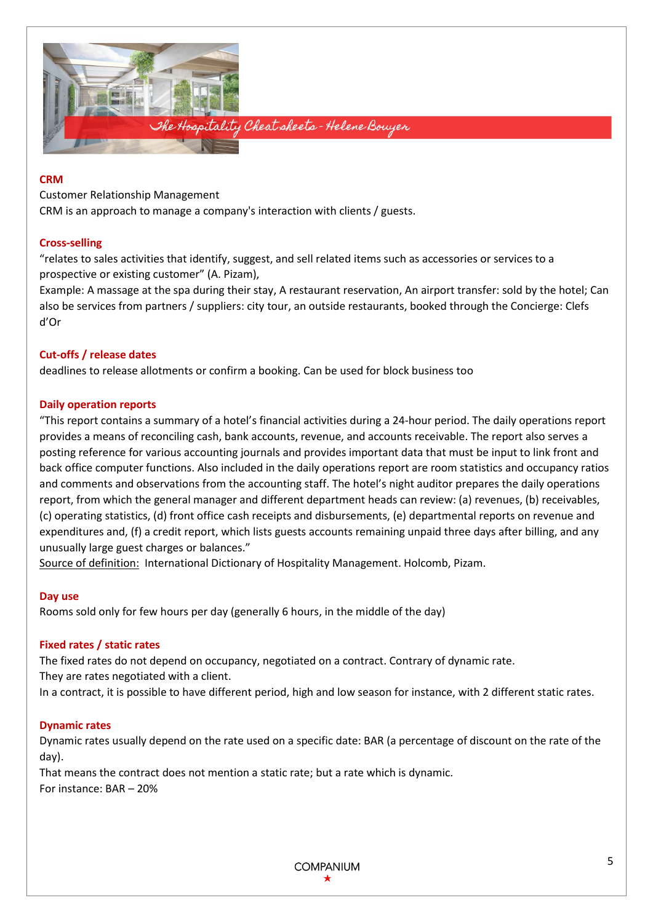

#### **CRM**

Customer Relationship Management

CRM is an approach to manage a company's interaction with clients / guests.

# **Cross-selling**

"relates to sales activities that identify, suggest, and sell related items such as accessories or services to a prospective or existing customer" (A. Pizam),

Example: A massage at the spa during their stay, A restaurant reservation, An airport transfer: sold by the hotel; Can also be services from partners / suppliers: city tour, an outside restaurants, booked through the Concierge: Clefs d'Or

# **Cut-offs / release dates**

deadlines to release allotments or confirm a booking. Can be used for block business too

# **Daily operation reports**

"This report contains a summary of a hotel's financial activities during a 24-hour period. The daily operations report provides a means of reconciling cash, bank accounts, revenue, and accounts receivable. The report also serves a posting reference for various accounting journals and provides important data that must be input to link front and back office computer functions. Also included in the daily operations report are room statistics and occupancy ratios and comments and observations from the accounting staff. The hotel's night auditor prepares the daily operations report, from which the general manager and different department heads can review: (a) revenues, (b) receivables, (c) operating statistics, (d) front office cash receipts and disbursements, (e) departmental reports on revenue and expenditures and, (f) a credit report, which lists guests accounts remaining unpaid three days after billing, and any unusually large guest charges or balances."

Source of definition: International Dictionary of Hospitality Management. Holcomb, Pizam.

## **Day use**

Rooms sold only for few hours per day (generally 6 hours, in the middle of the day)

## **Fixed rates / static rates**

The fixed rates do not depend on occupancy, negotiated on a contract. Contrary of dynamic rate.

They are rates negotiated with a client.

In a contract, it is possible to have different period, high and low season for instance, with 2 different static rates.

## **Dynamic rates**

Dynamic rates usually depend on the rate used on a specific date: BAR (a percentage of discount on the rate of the day).

That means the contract does not mention a static rate; but a rate which is dynamic. For instance: BAR – 20%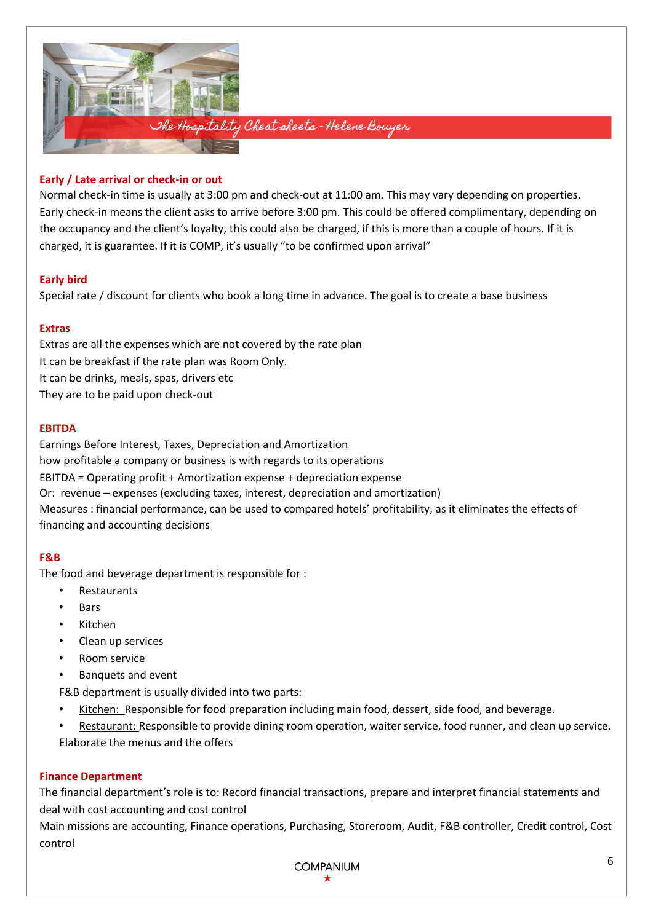

# **Early / Late arrival or check-in or out**

Normal check-in time is usually at 3:00 pm and check-out at 11:00 am. This may vary depending on properties. Early check-in means the client asks to arrive before 3:00 pm. This could be offered complimentary, depending on the occupancy and the client's loyalty, this could also be charged, if this is more than a couple of hours. If it is charged, it is guarantee. If it is COMP, it's usually "to be confirmed upon arrival"

# **Early bird**

Special rate / discount for clients who book a long time in advance. The goal is to create a base business

## **Extras**

Extras are all the expenses which are not covered by the rate plan It can be breakfast if the rate plan was Room Only. It can be drinks, meals, spas, drivers etc They are to be paid upon check-out

# **EBITDA**

Earnings Before Interest, Taxes, Depreciation and Amortization how profitable a company or business is with regards to its operations EBITDA = Operating profit + Amortization expense + depreciation expense Or: revenue – expenses (excluding taxes, interest, depreciation and amortization) Measures : financial performance, can be used to compared hotels' profitability, as it eliminates the effects of financing and accounting decisions

# **F&B**

The food and beverage department is responsible for :

- **Restaurants**
- Bars
- Kitchen
- Clean up services
- Room service
- Banquets and event

F&B department is usually divided into two parts:

- Kitchen: Responsible for food preparation including main food, dessert, side food, and beverage.
- Restaurant: Responsible to provide dining room operation, waiter service, food runner, and clean up service. Elaborate the menus and the offers

# **Finance Department**

The financial department's role is to: Record financial transactions, prepare and interpret financial statements and deal with cost accounting and cost control

Main missions are accounting, Finance operations, Purchasing, Storeroom, Audit, F&B controller, Credit control, Cost control

**COMPANIUM**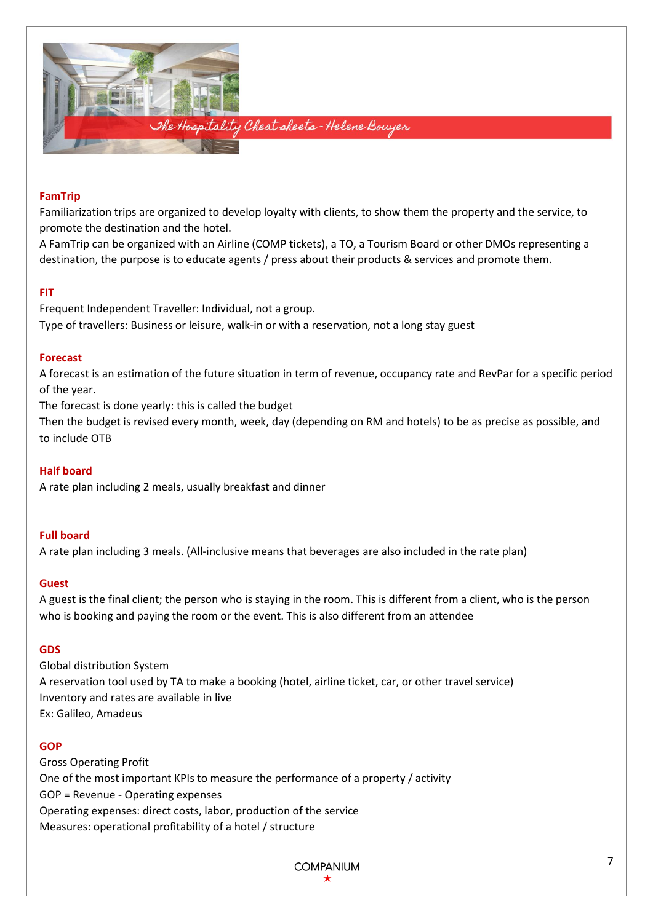

## **FamTrip**

Familiarization trips are organized to develop loyalty with clients, to show them the property and the service, to promote the destination and the hotel.

A FamTrip can be organized with an Airline (COMP tickets), a TO, a Tourism Board or other DMOs representing a destination, the purpose is to educate agents / press about their products & services and promote them.

## **FIT**

Frequent Independent Traveller: Individual, not a group. Type of travellers: Business or leisure, walk-in or with a reservation, not a long stay guest

# **Forecast**

A forecast is an estimation of the future situation in term of revenue, occupancy rate and RevPar for a specific period of the year.

The forecast is done yearly: this is called the budget

Then the budget is revised every month, week, day (depending on RM and hotels) to be as precise as possible, and to include OTB

# **Half board**

A rate plan including 2 meals, usually breakfast and dinner

# **Full board**

A rate plan including 3 meals. (All-inclusive means that beverages are also included in the rate plan)

## **Guest**

A guest is the final client; the person who is staying in the room. This is different from a client, who is the person who is booking and paying the room or the event. This is also different from an attendee

## **GDS**

Global distribution System A reservation tool used by TA to make a booking (hotel, airline ticket, car, or other travel service) Inventory and rates are available in live Ex: Galileo, Amadeus

## **GOP**

Gross Operating Profit One of the most important KPIs to measure the performance of a property / activity GOP = Revenue - Operating expenses Operating expenses: direct costs, labor, production of the service Measures: operational profitability of a hotel / structure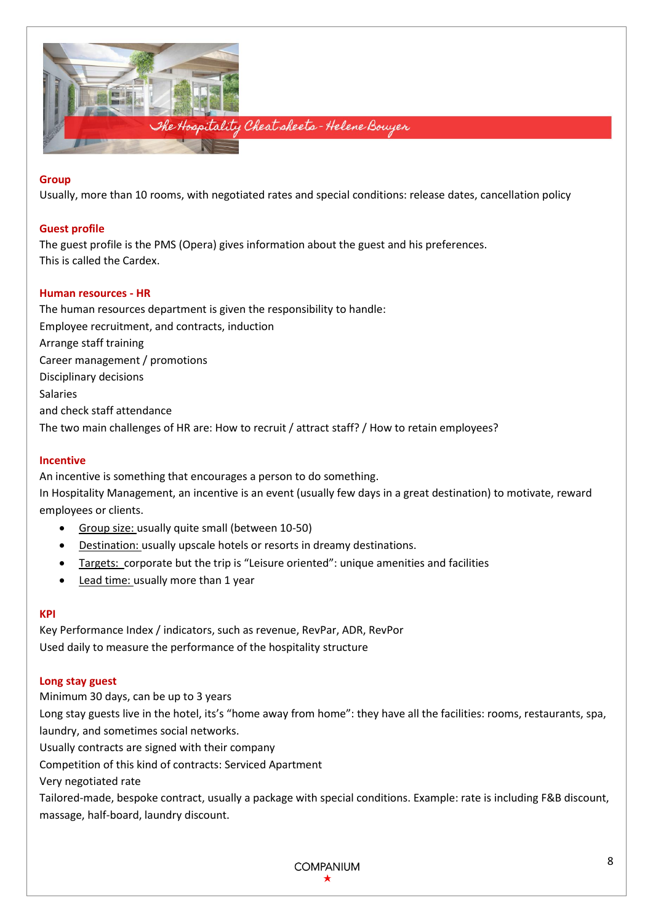

## **Group**

Usually, more than 10 rooms, with negotiated rates and special conditions: release dates, cancellation policy

## **Guest profile**

The guest profile is the PMS (Opera) gives information about the guest and his preferences. This is called the Cardex.

# **Human resources - HR**

The human resources department is given the responsibility to handle: Employee recruitment, and contracts, induction Arrange staff training Career management / promotions Disciplinary decisions Salaries and check staff attendance The two main challenges of HR are: How to recruit / attract staff? / How to retain employees?

## **Incentive**

An incentive is something that encourages a person to do something. In Hospitality Management, an incentive is an event (usually few days in a great destination) to motivate, reward employees or clients.

- Group size: usually quite small (between 10-50)
- Destination: usually upscale hotels or resorts in dreamy destinations.
- Targets: corporate but the trip is "Leisure oriented": unique amenities and facilities
- Lead time: usually more than 1 year

## **KPI**

Key Performance Index / indicators, such as revenue, RevPar, ADR, RevPor Used daily to measure the performance of the hospitality structure

## **Long stay guest**

Minimum 30 days, can be up to 3 years Long stay guests live in the hotel, its's "home away from home": they have all the facilities: rooms, restaurants, spa, laundry, and sometimes social networks. Usually contracts are signed with their company Competition of this kind of contracts: Serviced Apartment Very negotiated rate Tailored-made, bespoke contract, usually a package with special conditions. Example: rate is including F&B discount,

massage, half-board, laundry discount.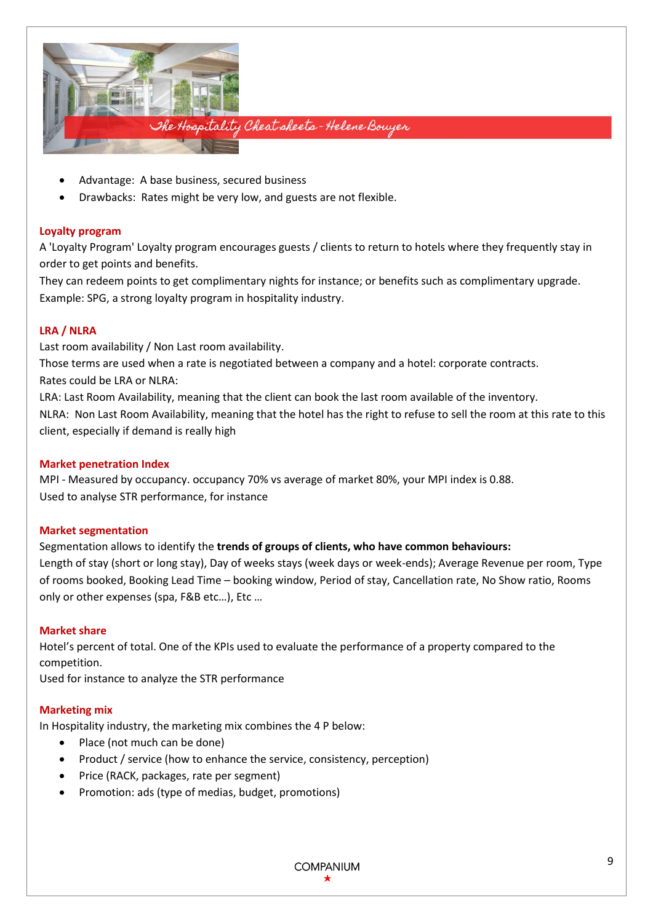

- Advantage: A base business, secured business
- Drawbacks: Rates might be very low, and guests are not flexible.

## **Loyalty program**

A 'Loyalty Program' Loyalty program encourages guests / clients to return to hotels where they frequently stay in order to get points and benefits.

They can redeem points to get complimentary nights for instance; or benefits such as complimentary upgrade. Example: SPG, a strong loyalty program in hospitality industry.

#### **LRA / NLRA**

Last room availability / Non Last room availability.

Those terms are used when a rate is negotiated between a company and a hotel: corporate contracts.

Rates could be LRA or NLRA:

LRA: Last Room Availability, meaning that the client can book the last room available of the inventory. NLRA: Non Last Room Availability, meaning that the hotel has the right to refuse to sell the room at this rate to this client, especially if demand is really high

## **Market penetration Index**

MPI - Measured by occupancy. occupancy 70% vs average of market 80%, your MPI index is 0.88. Used to analyse STR performance, for instance

## **Market segmentation**

Segmentation allows to identify the **trends of groups of clients, who have common behaviours:**  Length of stay (short or long stay), Day of weeks stays (week days or week-ends); Average Revenue per room, Type of rooms booked, Booking Lead Time – booking window, Period of stay, Cancellation rate, No Show ratio, Rooms only or other expenses (spa, F&B etc…), Etc …

## **Market share**

Hotel's percent of total. One of the KPIs used to evaluate the performance of a property compared to the competition.

Used for instance to analyze the STR performance

## **Marketing mix**

In Hospitality industry, the marketing mix combines the 4 P below:

- Place (not much can be done)
- Product / service (how to enhance the service, consistency, perception)
- Price (RACK, packages, rate per segment)
- Promotion: ads (type of medias, budget, promotions)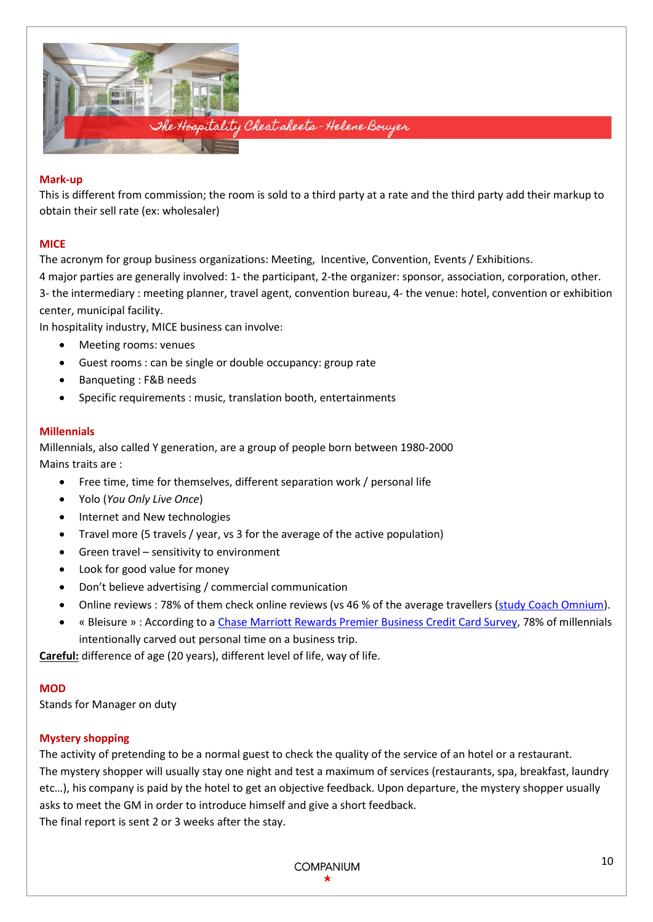

## **Mark-up**

This is different from commission; the room is sold to a third party at a rate and the third party add their markup to obtain their sell rate (ex: wholesaler)

# **MICE**

The acronym for group business organizations: Meeting, Incentive, Convention, Events / Exhibitions.

4 major parties are generally involved: 1- the participant, 2-the organizer: sponsor, association, corporation, other. 3- the intermediary : meeting planner, travel agent, convention bureau, 4- the venue: hotel, convention or exhibition center, municipal facility.

In hospitality industry, MICE business can involve:

- Meeting rooms: venues
- Guest rooms : can be single or double occupancy: group rate
- Banqueting : F&B needs
- Specific requirements : music, translation booth, entertainments

# **Millennials**

Millennials, also called Y generation, are a group of people born between 1980-2000 Mains traits are :

- Free time, time for themselves, different separation work / personal life
- Yolo (*You Only Live Once*)
- Internet and New technologies
- Travel more (5 travels / year, vs 3 for the average of the active population)
- Green travel sensitivity to environment
- Look for good value for money
- Don't believe advertising / commercial communication
- Online reviews : 78% of them check online reviews (vs 46 % of the average travellers [\(study](https://www.coachomnium.com/bonus/les-clients-dhotels-nous-les-avons-interroges.html) [Coach Omnium\)](https://www.coachomnium.com/bonus/les-clients-dhotels-nous-les-avons-interroges.html).
- « Bleisure » : According to a [Chase Marriott Rewards Premier Business Credit Card Survey,](http://www.businesswire.com/news/home/20160614005824/en/Small-Business-Owners-Realize-Benefits-Vacations-Struggle) 78% of millennials intentionally carved out personal time on a business trip.

**Careful:** difference of age (20 years), different level of life, way of life.

## **MOD**

Stands for Manager on duty

## **Mystery shopping**

The [activity](https://dictionary.cambridge.org/us/dictionary/english/activity) o[f pretending](https://dictionary.cambridge.org/us/dictionary/english/pretend) to be a [normal](https://dictionary.cambridge.org/us/dictionary/english/normal) [guest](https://dictionary.cambridge.org/us/dictionary/english/customer) to check the quality of the service of an hotel or a restaurant. The mystery shopper will usually stay one night and test a maximum of services (restaurants, spa, breakfast, laundry etc…), his company is paid by the hotel to get an objective feedback. Upon departure, the mystery shopper usually asks to meet the GM in order to introduce himself and give a short feedback. The final report is sent 2 or 3 weeks after the stay.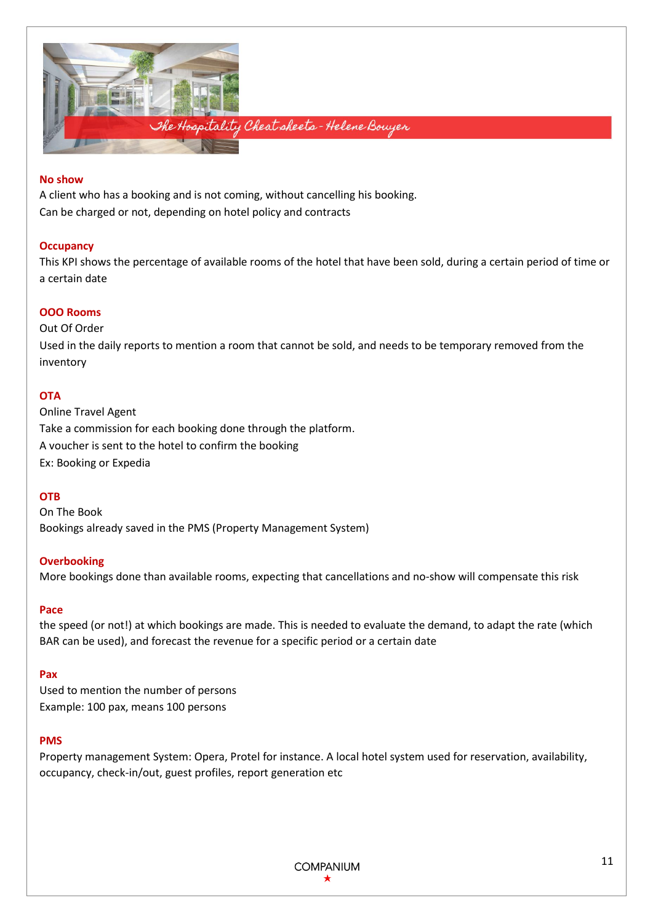

#### **No show**

A client who has a booking and is not coming, without cancelling his booking. Can be charged or not, depending on hotel policy and contracts

## **Occupancy**

This KPI shows the percentage of available rooms of the hotel that have been sold, during a certain period of time or a certain date

## **OOO Rooms**

Out Of Order Used in the daily reports to mention a room that cannot be sold, and needs to be temporary removed from the inventory

#### **OTA**

Online Travel Agent Take a commission for each booking done through the platform. A voucher is sent to the hotel to confirm the booking Ex: Booking or Expedia

## **OTB**

On The Book Bookings already saved in the PMS (Property Management System)

#### **Overbooking**

More bookings done than available rooms, expecting that cancellations and no-show will compensate this risk

#### **Pace**

the speed (or not!) at which bookings are made. This is needed to evaluate the demand, to adapt the rate (which BAR can be used), and forecast the revenue for a specific period or a certain date

## **Pax**

Used to mention the number of persons Example: 100 pax, means 100 persons

#### **PMS**

Property management System: Opera, Protel for instance. A local hotel system used for reservation, availability, occupancy, check-in/out, guest profiles, report generation etc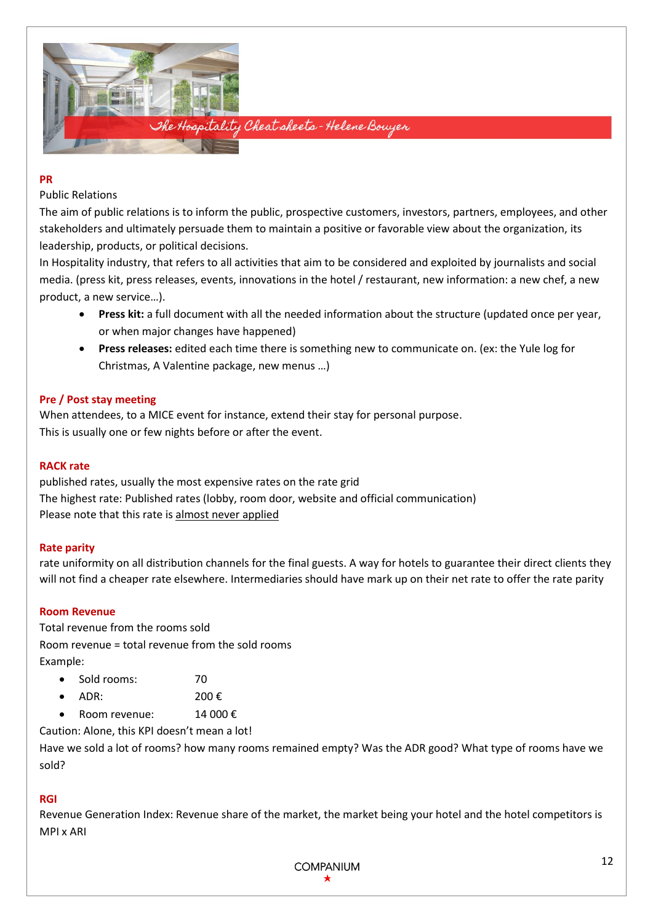

#### **PR**

# Public Relations

The aim of public relations is to inform the public, prospective customers, investors, partners, employees, and other stakeholders and ultimately persuade them to maintain a positive or favorable view about the organization, its leadership, products, or political decisions.

In Hospitality industry, that refers to all activities that aim to be considered and exploited by journalists and social media. (press kit, press releases, events, innovations in the hotel / restaurant, new information: a new chef, a new product, a new service…).

- **Press kit:** a full document with all the needed information about the structure (updated once per year, or when major changes have happened)
- **Press releases:** edited each time there is something new to communicate on. (ex: the Yule log for Christmas, A Valentine package, new menus …)

# **Pre / Post stay meeting**

When attendees, to a MICE event for instance, extend their stay for personal purpose. This is usually one or few nights before or after the event.

## **RACK rate**

published rates, usually the most expensive rates on the rate grid The highest rate: Published rates (lobby, room door, website and official communication) Please note that this rate is almost never applied

## **Rate parity**

rate uniformity on all distribution channels for the final guests. A way for hotels to guarantee their direct clients they will not find a cheaper rate elsewhere. Intermediaries should have mark up on their net rate to offer the rate parity

## **Room Revenue**

Total revenue from the rooms sold Room revenue = total revenue from the sold rooms Example:

- Sold rooms: 70
- $ADR: 200 \in$
- Room revenue: 14 000 €

Caution: Alone, this KPI doesn't mean a lot!

Have we sold a lot of rooms? how many rooms remained empty? Was the ADR good? What type of rooms have we sold?

## **RGI**

Revenue Generation Index: Revenue share of the market, the market being your hotel and the hotel competitors is MPI x ARI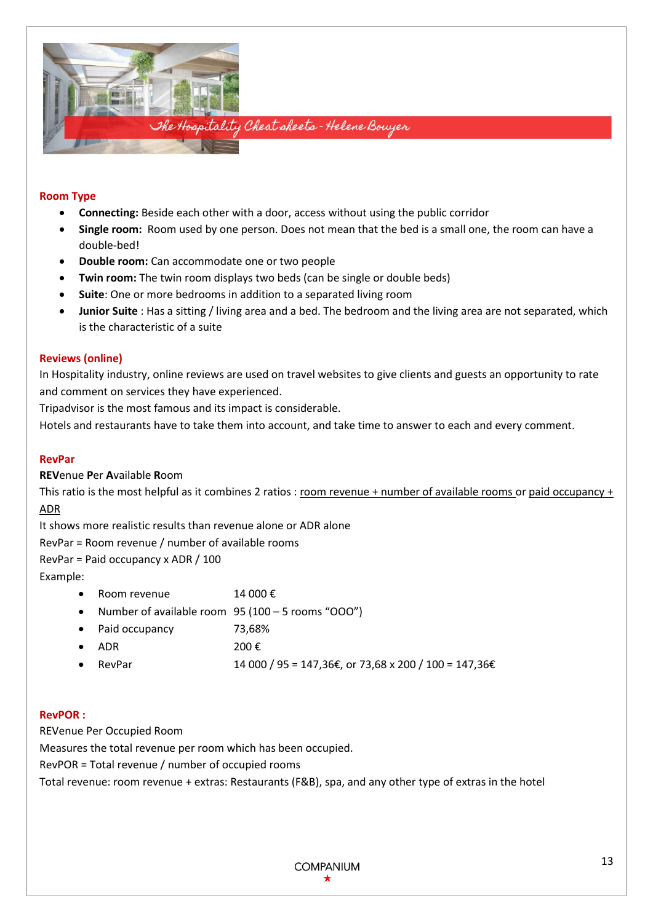

# **Room Type**

- **Connecting:** Beside each other with a door, access without using the public corridor
- **Single room:** Room used by one person. Does not mean that the bed is a small one, the room can have a double-bed!
- **Double room:** Can accommodate one or two people
- **Twin room:** The twin room displays two beds (can be single or double beds)
- **Suite**: One or more bedrooms in addition to a separated living room
- **Junior Suite** : Has a sitting / living area and a bed. The bedroom and the living area are not separated, which is the characteristic of a suite

## **Reviews (online)**

In Hospitality industry, online reviews are used on travel websites to give clients and guests an opportunity to rate and comment on services they have experienced.

Tripadvisor is the most famous and its impact is considerable.

Hotels and restaurants have to take them into account, and take time to answer to each and every comment.

## **RevPar**

**REV**enue **P**er **A**vailable **R**oom

This ratio is the most helpful as it combines 2 ratios : room revenue + number of available rooms or paid occupancy + ADR

It shows more realistic results than revenue alone or ADR alone

RevPar = Room revenue / number of available rooms

RevPar = Paid occupancy x ADR / 100

Example:

- Room revenue  $14,000 \notin$
- Number of available room 95 (100 5 rooms "OOO")
- Paid occupancy 73,68%
- ADR 200  $\epsilon$
- RevPar 14 000 / 95 = 147,36 $\epsilon$ , or 73,68 x 200 / 100 = 147,36 $\epsilon$

## **RevPOR :**

REVenue Per Occupied Room

Measures the total revenue per room which has been occupied.

RevPOR = Total revenue / number of occupied rooms

Total revenue: room revenue + extras: Restaurants (F&B), spa, and any other type of extras in the hotel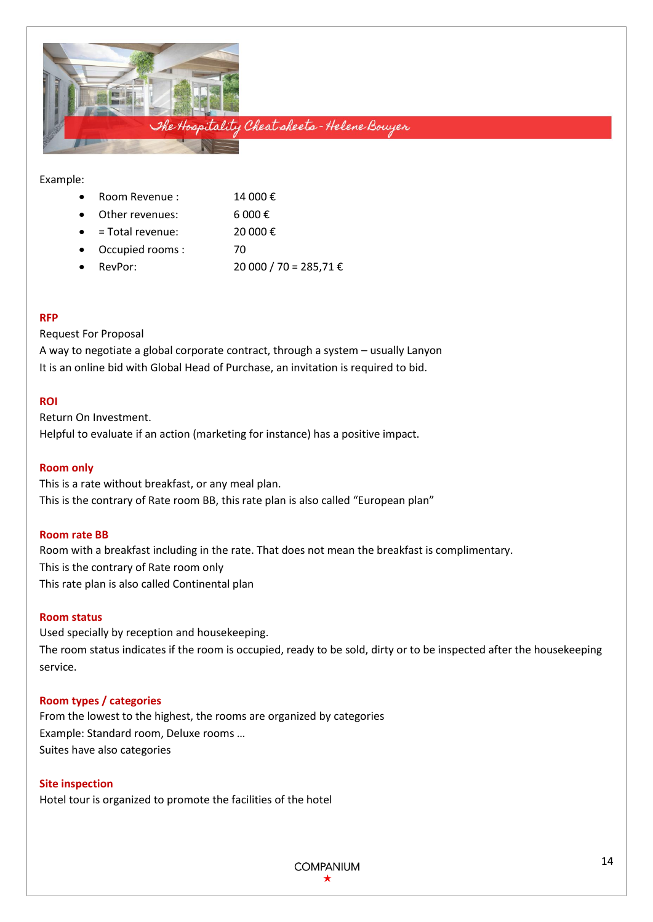

#### Example:

| Room Revenue: | 14 000€ |
|---------------|---------|
|               |         |

Other revenues:  $6000 \in$ 

- $=$  Total revenue: 20 000 €
- Occupied rooms : 70
- RevPor: 20 000 / 70 = 285,71 €

## **RFP**

# Request For Proposal

A way to negotiate a global corporate contract, through a system – usually Lanyon It is an online bid with Global Head of Purchase, an invitation is required to bid.

# **ROI**

Return On Investment. Helpful to evaluate if an action (marketing for instance) has a positive impact.

## **Room only**

This is a rate without breakfast, or any meal plan. This is the contrary of Rate room BB, this rate plan is also called "European plan"

## **Room rate BB**

Room with a breakfast including in the rate. That does not mean the breakfast is complimentary. This is the contrary of Rate room only This rate plan is also called Continental plan

## **Room status**

Used specially by reception and housekeeping. The room status indicates if the room is occupied, ready to be sold, dirty or to be inspected after the housekeeping service.

## **Room types / categories**

From the lowest to the highest, the rooms are organized by categories Example: Standard room, Deluxe rooms … Suites have also categories

# **Site inspection**

Hotel tour is organized to promote the facilities of the hotel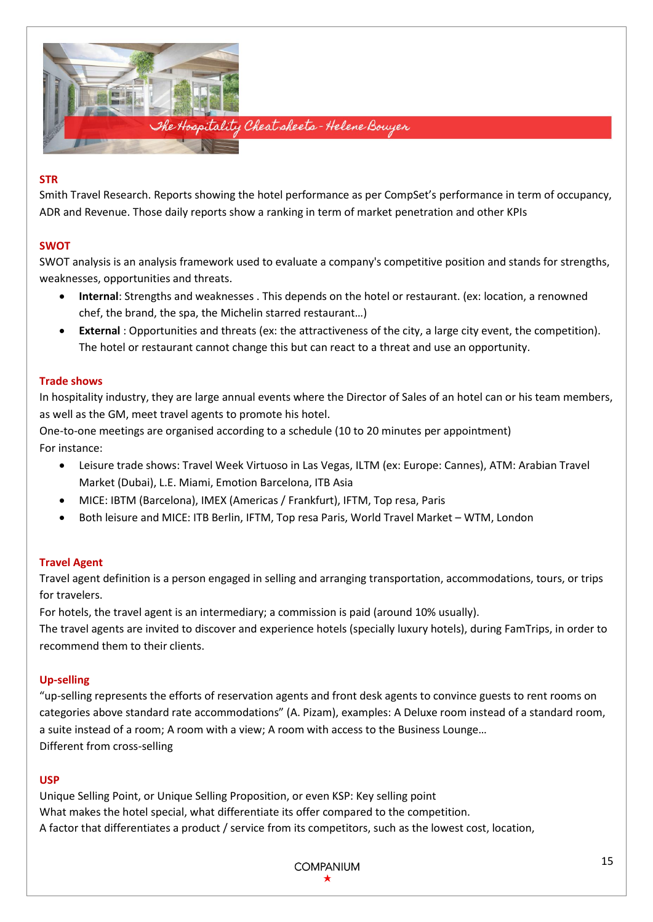

# **STR**

Smith Travel Research. Reports showing the hotel performance as per CompSet's performance in term of occupancy, ADR and Revenue. Those daily reports show a ranking in term of market penetration and other KPIs

# **SWOT**

SWOT analysis is an analysis framework used to evaluate a company's competitive position and stands for strengths, weaknesses, opportunities and threats.

- **Internal**: Strengths and weaknesses . This depends on the hotel or restaurant. (ex: location, a renowned chef, the brand, the spa, the Michelin starred restaurant…)
- **External** : Opportunities and threats (ex: the attractiveness of the city, a large city event, the competition). The hotel or restaurant cannot change this but can react to a threat and use an opportunity.

# **Trade shows**

In hospitality industry, they are large annual events where the Director of Sales of an hotel can or his team members, as well as the GM, meet travel agents to promote his hotel.

One-to-one meetings are organised according to a schedule (10 to 20 minutes per appointment) For instance:

- Leisure trade shows: Travel Week Virtuoso in Las Vegas, ILTM (ex: Europe: Cannes), ATM: Arabian Travel Market (Dubai), L.E. Miami, Emotion Barcelona, ITB Asia
- MICE: IBTM (Barcelona), IMEX (Americas / Frankfurt), IFTM, Top resa, Paris
- Both leisure and MICE: ITB Berlin, IFTM, Top resa Paris, World Travel Market WTM, London

## **Travel Agent**

Travel agent definition is a person engaged in selling and arranging transportation, accommodations, tours, or trips for travelers.

For hotels, the travel agent is an intermediary; a commission is paid (around 10% usually).

The travel agents are invited to discover and experience hotels (specially luxury hotels), during FamTrips, in order to recommend them to their clients.

## **Up-selling**

"up-selling represents the efforts of reservation agents and front desk agents to convince guests to rent rooms on categories above standard rate accommodations" (A. Pizam), examples: A Deluxe room instead of a standard room, a suite instead of a room; A room with a view; A room with access to the Business Lounge… Different from cross-selling

## **USP**

Unique Selling Point, or Unique Selling Proposition, or even KSP: Key selling point What makes the hotel special, what differentiate its offer compared to the competition. A factor that differentiates a product / service from its competitors, such as the lowest cost, location,